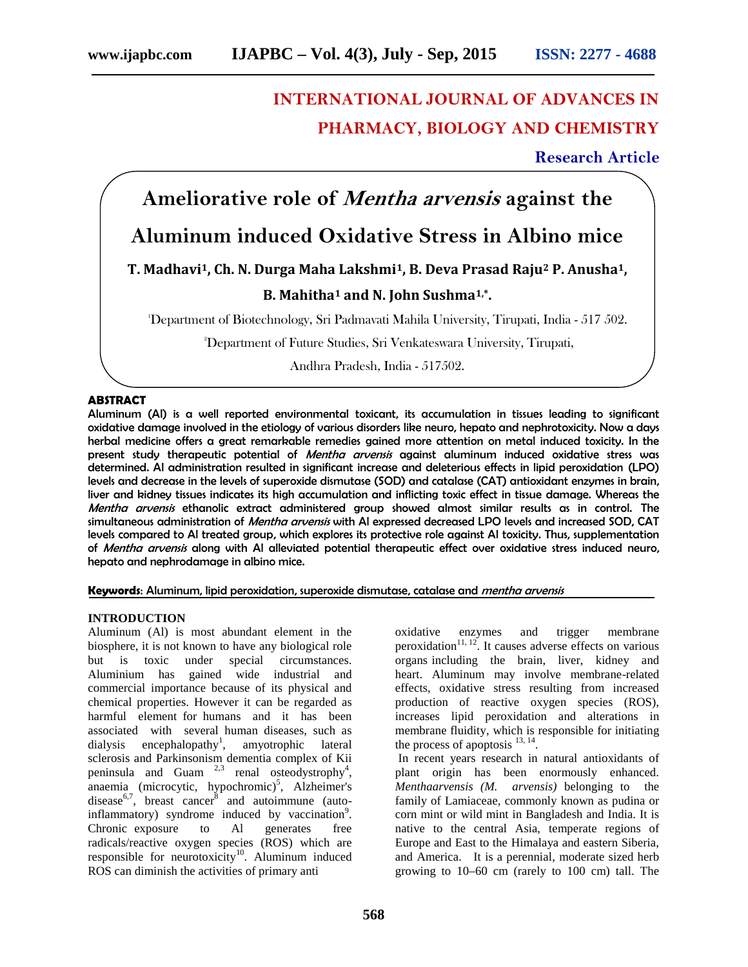## **INTERNATIONAL JOURNAL OF ADVANCES IN PHARMACY, BIOLOGY AND CHEMISTRY**

### **Research Article**

# **Ameliorative role of** *Mentha arvensis* **against the**

### **Aluminum induced Oxidative Stress in Albino mice**

#### **T. Madhavi1, Ch. N. Durga Maha Lakshmi1, B. Deva Prasad Raju<sup>2</sup> P. Anusha1,**

#### **B. Mahitha<sup>1</sup> and N. John Sushma1,\* .**

<sup>1</sup>Department of Biotechnology, Sri Padmavati Mahila University, Tirupati, India - 517 502.

<sup>2</sup>Department of Future Studies, Sri Venkateswara University, Tirupati,

Andhra Pradesh, India - 517502.

#### **ABSTRACT**

Aluminum (Al) is a well reported environmental toxicant, its accumulation in tissues leading to significant oxidative damage involved in the etiology of various disorders like neuro, hepato and nephrotoxicity. Now a days herbal medicine offers a great remarkable remedies gained more attention on metal induced toxicity. In the present study therapeutic potential of *Mentha arvensis* against aluminum induced oxidative stress was determined. Al administration resulted in significant increase and deleterious effects in lipid peroxidation (LPO) levels and decrease in the levels of superoxide dismutase (SOD) and catalase (CAT) antioxidant enzymes in brain, liver and kidney tissues indicates its high accumulation and inflicting toxic effect in tissue damage. Whereas the *Mentha arvensis* ethanolic extract administered group showed almost similar results as in control. The simultaneous administration of *Mentha arvensis* with Al expressed decreased LPO levels and increased SOD, CAT levels compared to Al treated group, which explores its protective role against Al toxicity. Thus, supplementation of *Mentha arvensis* along with Al alleviated potential therapeutic effect over oxidative stress induced neuro, hepato and nephrodamage in albino mice.

**Keywords**: Aluminum, lipid peroxidation, superoxide dismutase, catalase and *mentha arvensis*

#### **INTRODUCTION**

Aluminum (Al) is most abundant element in the biosphere, it is not known to have any biological role but is toxic under special circumstances. Aluminium has gained wide industrial and commercial importance because of its physical and chemical properties. However it can be regarded as harmful element for humans and it has been associated with several human diseases, such as dialysis encephalopathy<sup>1</sup>, , amyotrophic lateral sclerosis and Parkinsonism dementia complex of Kii peninsula and Guam  $2.3$  renal osteodystrophy<sup>4</sup>,  $an a$ emia (microcytic, hypochromic)<sup>5</sup>, Alzheimer's disease<sup>6,7</sup>, breast cancer<sup>8</sup> and autoimmune (autoinflammatory) syndrome induced by vaccination<sup>9</sup>. Chronic exposure to Al generates free radicals/reactive oxygen species (ROS) which are responsible for neurotoxicity<sup>10</sup>. Aluminum induced ROS can diminish the activities of primary anti

oxidative enzymes and trigger membrane peroxidation<sup>11, 12</sup>. It causes adverse effects on various organs including the brain, liver, kidney and heart. Aluminum may involve membrane-related effects, oxidative stress resulting from increased production of reactive oxygen species (ROS), increases lipid peroxidation and alterations in membrane fluidity, which is responsible for initiating the process of apoptosis  $^{13, 14}$ .

In recent years research in natural antioxidants of plant origin has been enormously enhanced. *Menthaarvensis (M. arvensis)* belonging to the family of Lamiaceae, commonly known as pudina or corn mint or wild mint in Bangladesh and India. It is native to the central Asia, temperate regions of Europe and East to the Himalaya and eastern Siberia, and America. It is a perennial, moderate sized herb growing to 10–60 cm (rarely to 100 cm) tall. The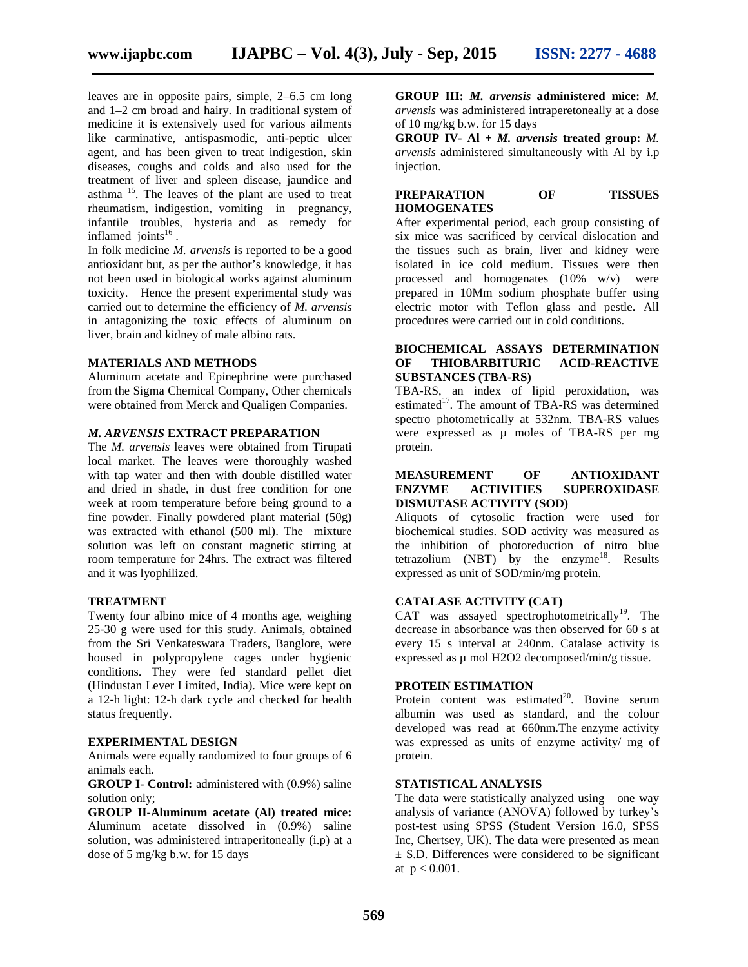leaves are in opposite pairs, simple, 2–6.5 cm long and 1–2 cm broad and hairy. In traditional system of medicine it is extensively used for various ailments like carminative, antispasmodic, anti-peptic ulcer agent, and has been given to treat indigestion, skin diseases, coughs and colds and also used for the treatment of liver and spleen disease, jaundice and asthma <sup>15</sup>. The leaves of the plant are used to treat rheumatism, indigestion, vomiting in pregnancy, infantile troubles, hysteria and as remedy for inflamed joints $^{16}$ .

In folk medicine *M. arvensis* is reported to be a good antioxidant but, as per the author's knowledge, it has not been used in biological works against aluminum toxicity. Hence the present experimental study was carried out to determine the efficiency of *M. arvensis* in antagonizing the toxic effects of aluminum on liver, brain and kidney of male albino rats.

#### **MATERIALS AND METHODS**

Aluminum acetate and Epinephrine were purchased from the Sigma Chemical Company, Other chemicals were obtained from Merck and Qualigen Companies.

#### *M. ARVENSIS* **EXTRACT PREPARATION**

The *M. arvensis* leaves were obtained from Tirupati local market. The leaves were thoroughly washed with tap water and then with double distilled water and dried in shade, in dust free condition for one week at room temperature before being ground to a fine powder. Finally powdered plant material (50g) was extracted with ethanol (500 ml). The mixture solution was left on constant magnetic stirring at room temperature for 24hrs. The extract was filtered and it was lyophilized.

#### **TREATMENT**

Twenty four albino mice of 4 months age, weighing 25-30 g were used for this study. Animals, obtained from the Sri Venkateswara Traders, Banglore, were housed in polypropylene cages under hygienic conditions. They were fed standard pellet diet (Hindustan Lever Limited, India). Mice were kept on a 12-h light: 12-h dark cycle and checked for health status frequently.

#### **EXPERIMENTAL DESIGN**

Animals were equally randomized to four groups of 6 animals each.

**GROUP I- Control:** administered with (0.9%) saline solution only;

**GROUP II-Aluminum acetate (Al) treated mice:** Aluminum acetate dissolved in (0.9%) saline solution, was administered intraperitoneally (i.p) at a dose of 5 mg/kg b.w. for 15 days

**GROUP III:** *M. arvensis* **administered mice:** *M. arvensis* was administered intraperetoneally at a dose of 10 mg/kg b.w. for 15 days

**GROUP IV- Al +** *M. arvensis* **treated group:** *M. arvensis* administered simultaneously with Al by i.p injection.

#### **PREPARATION OF TISSUES HOMOGENATES**

After experimental period, each group consisting of six mice was sacrificed by cervical dislocation and the tissues such as brain, liver and kidney were isolated in ice cold medium. Tissues were then processed and homogenates (10% w/v) were prepared in 10Mm sodium phosphate buffer using electric motor with Teflon glass and pestle. All procedures were carried out in cold conditions.

#### **BIOCHEMICAL ASSAYS DETERMINATION OF THIOBARBITURIC ACID-REACTIVE SUBSTANCES (TBA-RS)**

TBA-RS, an index of lipid peroxidation, was estimated<sup>17</sup>. The amount of TBA-RS was determined spectro photometrically at 532nm. TBA-RS values were expressed as  $\mu$  moles of TBA-RS per mg protein.

#### **MEASUREMENT OF ANTIOXIDANT ENZYME ACTIVITIES SUPEROXIDASE DISMUTASE ACTIVITY (SOD)**

Aliquots of cytosolic fraction were used for biochemical studies. SOD activity was measured as the inhibition of photoreduction of nitro blue tetrazolium  $(NBT)$  by the enzyme<sup>18</sup>. Results expressed as unit of SOD/min/mg protein.

#### **CATALASE ACTIVITY (CAT)**

CAT was assayed spectrophotometrically<sup>19</sup>. The decrease in absorbance was then observed for 60 s at every 15 s interval at 240nm. Catalase activity is expressed as µ mol H2O2 decomposed/min/g tissue.

#### **PROTEIN ESTIMATION**

Protein content was estimated $^{20}$ . Bovine serum albumin was used as standard, and the colour developed was read at 660nm.The enzyme activity was expressed as units of enzyme activity/ mg of protein.

#### **STATISTICAL ANALYSIS**

The data were statistically analyzed using one way analysis of variance (ANOVA) followed by turkey's post-test using SPSS (Student Version 16.0, SPSS Inc, Chertsey, UK). The data were presented as mean  $\pm$  S.D. Differences were considered to be significant at  $p < 0.001$ .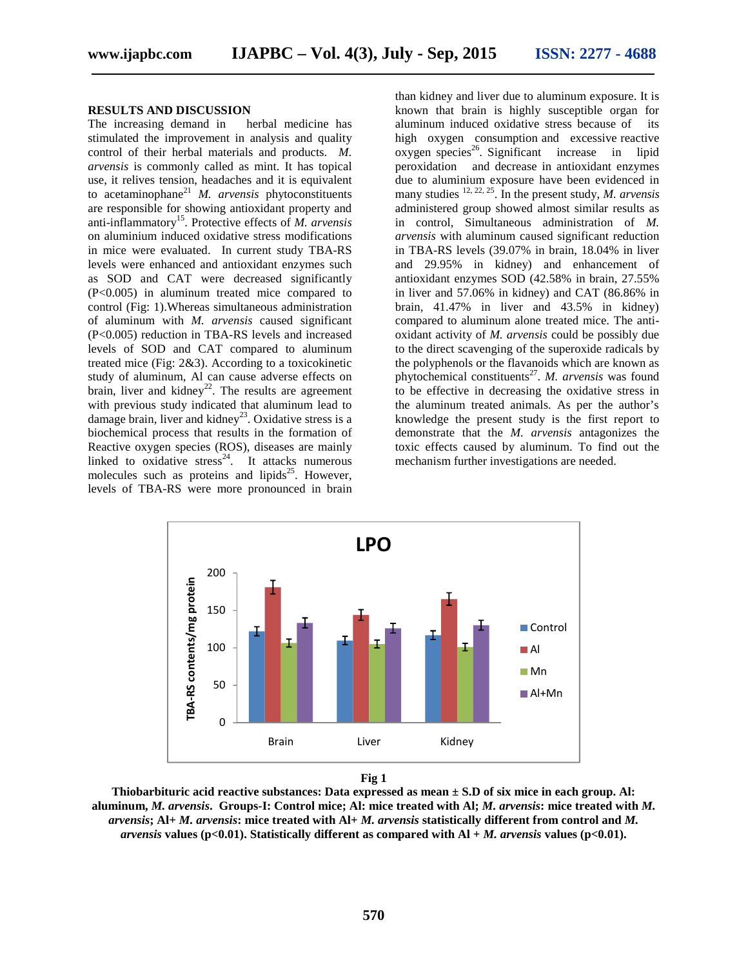#### **RESULTS AND DISCUSSION**

The increasing demand in herbal medicine has stimulated the improvement in analysis and quality control of their herbal materials and products. *M. arvensis* is commonly called as mint. It has topical use, it relives tension, headaches and it is equivalent to acetaminophane<sup>21</sup> *M. arvensis* phytoconstituents are responsible for showing antioxidant property and anti-inflammatory<sup>15</sup>. Protective effects of *M. arvensis* on aluminium induced oxidative stress modifications in mice were evaluated. In current study TBA-RS levels were enhanced and antioxidant enzymes such as SOD and CAT were decreased significantly (P<0.005) in aluminum treated mice compared to control (Fig: 1).Whereas simultaneous administration of aluminum with *M. arvensis* caused significant (P<0.005) reduction in TBA-RS levels and increased levels of SOD and CAT compared to aluminum treated mice (Fig: 2&3). According to a toxicokinetic study of aluminum, Al can cause adverse effects on brain, liver and kidney<sup>22</sup>. The results are agreement with previous study indicated that aluminum lead to damage brain, liver and kidney<sup>23</sup>. Oxidative stress is a biochemical process that results in the formation of Reactive oxygen species (ROS), diseases are mainly linked to oxidative stress<sup>24</sup>. It attacks numerous molecules such as proteins and lipids<sup>25</sup>. However, levels of TBA-RS were more pronounced in brain

than kidney and liver due to aluminum exposure. It is known that brain is highly susceptible organ for aluminum induced oxidative stress because of its high oxygen consumption and excessive reactive oxygen species<sup>26</sup>. Significant increase in lipid peroxidation and decrease in antioxidant enzymes due to aluminium exposure have been evidenced in many studies 12, 22, 25. In the present study, *M. arvensis* administered group showed almost similar results as in control, Simultaneous administration of *M. arvensis* with aluminum caused significant reduction in TBA-RS levels (39.07% in brain, 18.04% in liver and 29.95% in kidney) and enhancement of antioxidant enzymes SOD (42.58% in brain, 27.55% in liver and 57.06% in kidney) and CAT (86.86% in brain, 41.47% in liver and 43.5% in kidney) compared to aluminum alone treated mice. The anti oxidant activity of *M. arvensis* could be possibly due to the direct scavenging of the superoxide radicals by the polyphenols or the flavanoids which are known as phytochemical constituents<sup>27</sup>. M. arvensis was found to be effective in decreasing the oxidative stress in the aluminum treated animals. As per the author's knowledge the present study is the first report to demonstrate that the *M. arvensis* antagonizes the toxic effects caused by aluminum. To find out the mechanism further investigations are needed.





**Thiobarbituric acid reactive substances: Data expressed as mean ± S.D of six mice in each group. Al: aluminum,** *M. arvensis***. Groups-I: Control mice; Al: mice treated with Al;** *M. arvensis***: mice treated with** *M. arvensis***; Al+** *M. arvensis***: mice treated with Al+** *M. arvensis* **statistically different from control and** *M. arvensis* **values (p<0.01). Statistically different as compared with Al +** *M. arvensis* **values (p<0.01).**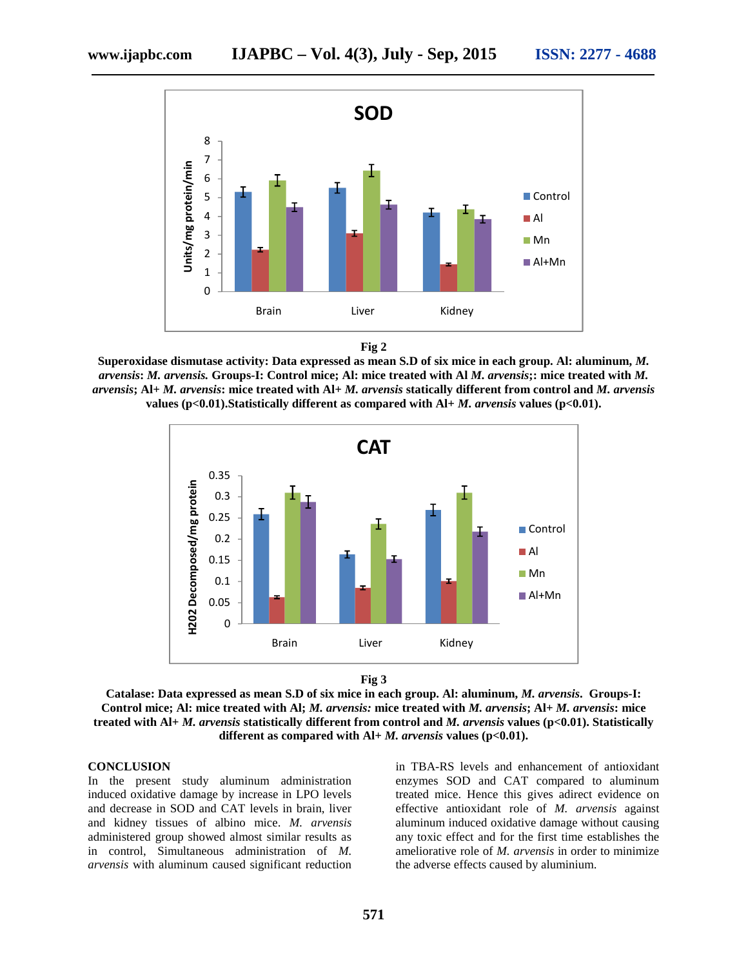

**Fig 2**

**Superoxidase dismutase activity: Data expressed as mean S.D of six mice in each group. Al: aluminum,** *M. arvensis***:** *M. arvensis.* **Groups-I: Control mice; Al: mice treated with Al** *M. arvensis***;: mice treated with** *M. arvensis***; Al+** *M. arvensis***: mice treated with Al+** *M. arvensis* **statically different from control and** *M. arvensis* **values (p<0.01).Statistically different as compared with Al+** *M. arvensis* **values (p<0.01).**





**Catalase: Data expressed as mean S.D of six mice in each group. Al: aluminum,** *M. arvensis***. Groups-I: Control mice; Al: mice treated with Al;** *M. arvensis:* **mice treated with** *M. arvensis***; Al+** *M. arvensis***: mice treated with Al+** *M. arvensis* **statistically different from control and** *M. arvensis* **values (p<0.01). Statistically different as compared with Al+** *M. arvensis* **values (p<0.01).**

#### **CONCLUSION**

In the present study aluminum administration induced oxidative damage by increase in LPO levels and decrease in SOD and CAT levels in brain, liver and kidney tissues of albino mice. *M. arvensis* administered group showed almost similar results as in control, Simultaneous administration of *M. arvensis* with aluminum caused significant reduction in TBA-RS levels and enhancement of antioxidant enzymes SOD and CAT compared to aluminum treated mice. Hence this gives adirect evidence on effective antioxidant role of *M. arvensis* against aluminum induced oxidative damage without causing any toxic effect and for the first time establishes the ameliorative role of *M. arvensis* in order to minimize the adverse effects caused by aluminium.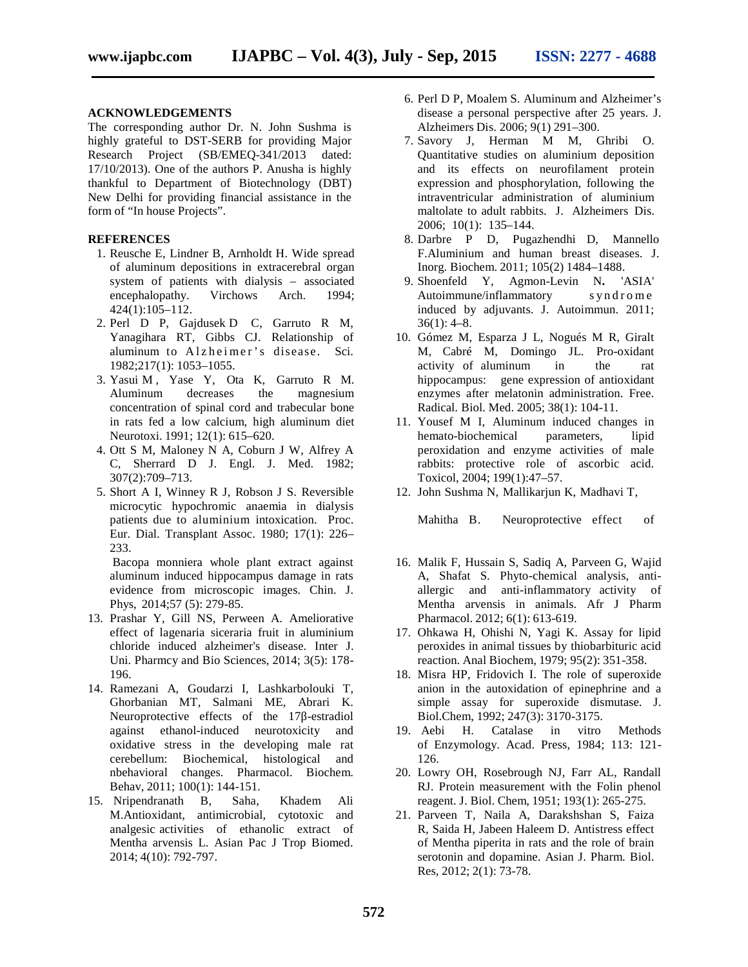#### **ACKNOWLEDGEMENTS**

The corresponding author Dr. N. John Sushma is highly grateful to DST-SERB for providing Major Research Project (SB/EMEQ-341/2013 dated: 17/10/2013). One of the authors P. Anusha is highly thankful to Department of Biotechnology (DBT) New Delhi for providing financial assistance in the form of "In house Projects".

#### **REFERENCES**

- 1. Reusche E, Lindner B, Arnholdt H. Wide spread of aluminum depositions in extracerebral organ system of patients with dialysis – associated encephalopathy. Virchows Arch. 1994; 424(1):105–112.
- 2. Perl D P, Gajdusek D C, Garruto R M, Yanagihara RT, Gibbs CJ. Relationship of system of patients with dialysis – associated<br>encephalopathy. Virchows Arch. 1994;<br>424(1):105–112.<br>Perl D P, Gajdusek D C, Garruto R M,<br>Yanagihara RT, Gibbs CJ. Relationship of<br>aluminum to Alzheimer's disease. Sci.<br>1982;21 1982;217(1): 1053–1055.
- 3. Yasui M , Yase Y, Ota K, Garruto R M. Aluminum decreases the magnesium concentration of spinal cord and trabecular bone in rats fed a low calcium, high aluminum diet Neurotoxi. 1991; 12(1): 615–620.
- 4. Ott S M, Maloney N A, Coburn J W, Alfrey A C, Sherrard D J. Engl. J. Med. 1982; 307(2):709–713.
- 5. Short A I, Winney R J, Robson J S. Reversible microcytic hypochromic anaemia in dialysis patients due to aluminium intoxication. Proc. Eur. Dial. Transplant Assoc. 1980; 17(1): 226– 233.

Bacopa monniera whole plant extract against aluminum induced hippocampus damage in rats evidence from microscopic images. Chin. J. Phys, 2014;57 (5): 279-85.

- 13. Prashar Y, Gill NS, Perween A. Ameliorative effect of lagenaria siceraria fruit in aluminium chloride induced alzheimer's disease. Inter J. Uni. Pharmcy and Bio Sciences, 2014; 3(5): 178- 196.
- 14. Ramezani A, Goudarzi I, Lashkarbolouki T, Ghorbanian MT, Salmani ME, Abrari K. Neuroprotective effects of the 17 -estradiol against ethanol-induced neurotoxicity and oxidative stress in the developing male rat cerebellum: Biochemical, histological and nbehavioral changes. Pharmacol. Biochem. Behav, 2011; 100(1): 144-151.
- 15. Nripendranath B, Saha, Khadem Ali M.Antioxidant, antimicrobial, cytotoxic and analgesic activities of ethanolic extract of Mentha arvensis L. Asian Pac J Trop Biomed. 2014; 4(10): 792-797.
- 6. Perl D P, Moalem S. Aluminum and Alzheimer's disease a personal perspective after 25 years. J. Alzheimers Dis. 2006; 9(1) 291–300.
- 7. Savory J, Herman M M, Ghribi O. Quantitative studies on aluminium deposition and its effects on neurofilament protein expression and phosphorylation, following the intraventricular administration of aluminium maltolate to adult rabbits. J. Alzheimers Dis. 2006; 10(1): 135–144.
- 8. Darbre P D, Pugazhendhi D, Mannello F.Aluminium and human breast diseases. J. Inorg. Biochem. 2011; 105(2) 1484–1488.
- 9. Shoenfeld Y, Agmon-Levin N**.** 'ASIA' 2006; 10(1): 135–144.<br>
Darbre P D, Pugazhendhi D, Mannello<br>
F.Aluminium and human breast diseases. J.<br>
Inorg. Biochem. 2011; 105(2) 1484–1488.<br>
Shoenfeld Y, Agmon-Levin N. 'ASIA'<br>
Autoimmune/inflammatory s yn d rome<br>
induc induced by adjuvants. J. Autoimmun. 2011; 36(1): 4–8.
- 10. Gómez M, Esparza J L, Nogués M R, Giralt M, Cabré M, Domingo JL. Pro-oxidant activity of aluminum in the rat hippocampus: gene expression of antioxidant enzymes after melatonin administration. Free. Radical. Biol. Med. 2005; 38(1): 104-11.
- 11. Yousef M I, Aluminum induced changes in hemato-biochemical parameters, lipid peroxidation and enzyme activities of male rabbits: protective role of ascorbic acid. Toxicol, 2004; 199(1):47–57.
- 12. John Sushma N, Mallikarjun K, Madhavi T,

Mahitha B. Neuroprotective effect of

- 16. Malik F, Hussain S, Sadiq A, Parveen G, Wajid A, Shafat S. Phyto-chemical analysis, anti allergic and anti-inflammatory activity of Mentha arvensis in animals. Afr J Pharm Pharmacol. 2012; 6(1): 613-619.
- 17. Ohkawa H, Ohishi N, Yagi K. Assay for lipid peroxides in animal tissues by thiobarbituric acid reaction. Anal Biochem, 1979; 95(2): 351-358.
- 18. Misra HP, Fridovich I. The role of superoxide anion in the autoxidation of epinephrine and a simple assay for superoxide dismutase. J. Biol.Chem, 1992; 247(3): 3170-3175.
- 19. Aebi H. Catalase in vitro Methods of Enzymology. Acad. Press, 1984; 113: 121- 126.
- 20. Lowry OH, Rosebrough NJ, Farr AL, Randall RJ. Protein measurement with the Folin phenol reagent. J. Biol. Chem, 1951; 193(1): 265-275.
- 21. Parveen T, Naila A, Darakshshan S, Faiza R, Saida H, Jabeen Haleem D. Antistress effect of Mentha piperita in rats and the role of brain serotonin and dopamine. Asian J. Pharm. Biol. Res, 2012; 2(1): 73-78.